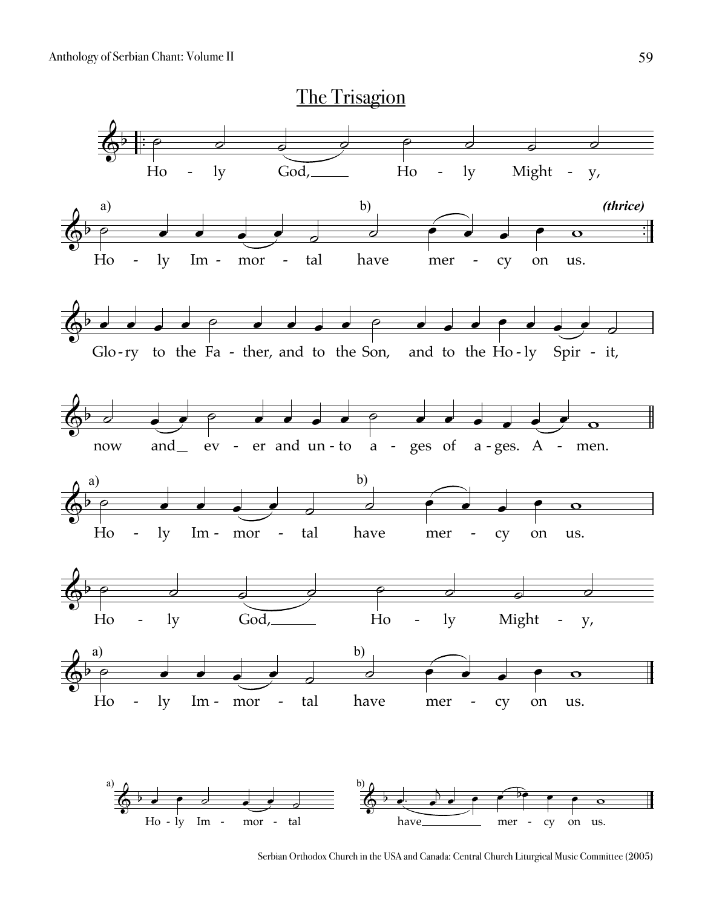

Serbian Orthodox Church in the USA and Canada: Central Church Liturgical Music Committee (2005)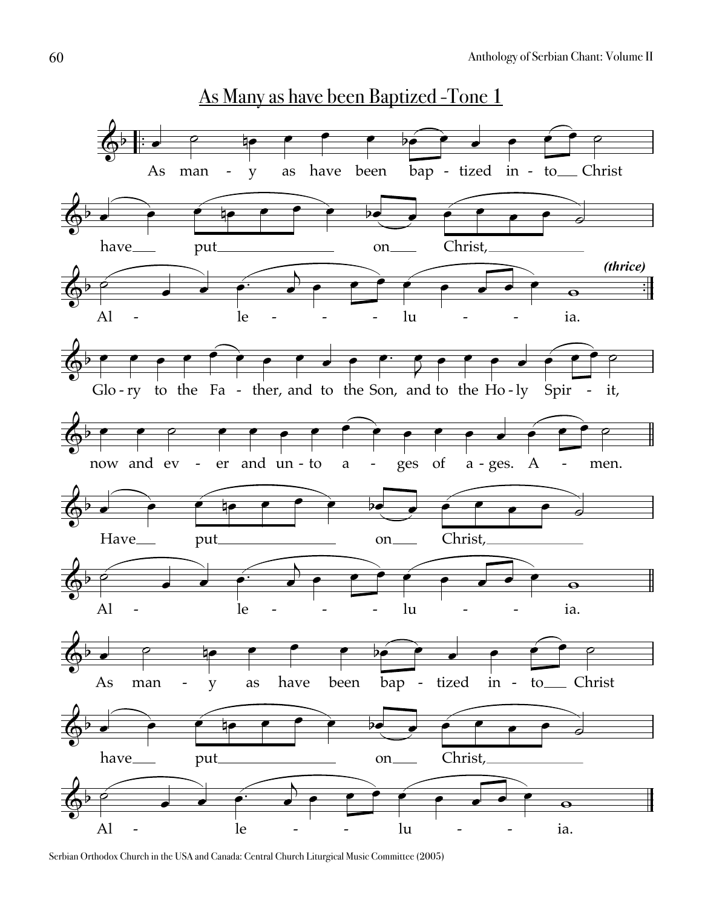

Serbian Orthodox Church in the USA and Canada: Central Church Liturgical Music Committee (2005)